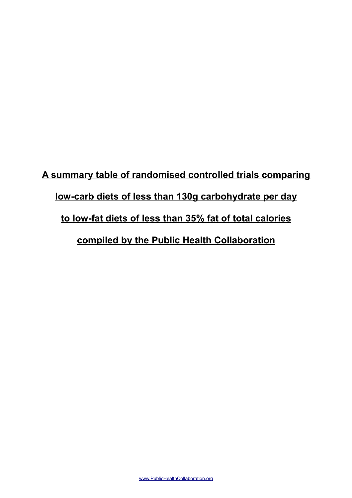## **A summary table of randomised controlled trials comparing low-carb diets of less than 130g carbohydrate per day to low-fat diets of less than 35% fat of total calories compiled by the Public Health Collaboration**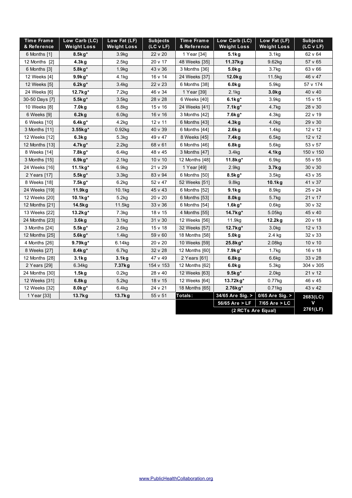| <b>Time Frame</b><br>& Reference | Low Carb (LC)<br><b>Weight Loss</b> | Low Fat (LF)<br><b>Weight Loss</b> | <b>Subjects</b><br>(LC V LF) | Time Frame<br>& Reference | Low Carb (LC)<br><b>Weight Loss</b> | Low Fat (LF)<br><b>Weight Loss</b> | <b>Subjects</b><br>(LC V LF) |
|----------------------------------|-------------------------------------|------------------------------------|------------------------------|---------------------------|-------------------------------------|------------------------------------|------------------------------|
| 6 Months [1]                     | $8.5kg*$                            | 3.9kg                              | 22 v 20                      | 1 Year [34]               | 5.1kg                               | 3.1 <sub>kg</sub>                  | 62 v 64                      |
| 12 Months [2]                    | 4.3kg                               | 2.5kg                              | 20 v 17                      | 48 Weeks [35]             | 11.37kg                             | 9.62kg                             | 57 v 65                      |
| 6 Months [3]                     | $5.8$ kg*                           | 1.9 <sub>kq</sub>                  | 43 v 36                      | 3 Months [36]             | 5.0 <sub>k</sub> g                  | 3.7 <sub>kq</sub>                  | 63 v 66                      |
| 12 Weeks [4]                     | $9.9kg*$                            | 4.1kg                              | 16 v 14                      | 24 Weeks [37]             | 12.0kg                              | 11.5kg                             | 46 v 47                      |
| 12 Weeks [5]                     | $6.2kg*$                            | 3.4 <sub>kg</sub>                  | 22 v 23                      | 6 Months [38]             | 6.0kg                               | 5.9 <sub>kg</sub>                  | 57 v 174                     |
| 24 Weeks [6]                     | 12.7kg*                             | 7.2kg                              | 46 v 34                      | 1 Year [39]               | 2.1kg                               | 3.0 <sub>k</sub> g                 | 40 v 40                      |
| 30-50 Days [7]                   | $5.5$ kg $*$                        | 3.5 <sub>kg</sub>                  | 28 v 28                      | 6 Weeks [40]              | $6.1kg*$                            | 3.9kg                              | 15 v 15                      |
| 10 Weeks [8]                     | 7.0 <sub>k</sub> g                  | 6.8 <sub>kg</sub>                  | 15 v 16                      | 24 Weeks [41]             | $7.1kg*$                            | 4.7kg                              | 28 v 30                      |
| 6 Weeks [9]                      | 6.2kg                               | 6.0kg                              | 16 v 16                      | 3 Months [42]             | 7.6kg*                              | 4.3kg                              | 22 v 19                      |
| 6 Weeks [10]                     | $6.4kg*$                            | 4.2kg                              | 12 v 11                      | 6 Months [43]             | 4.3kg                               | 4.0 <sub>kq</sub>                  | 29 v 30                      |
| 3 Months [11]                    | $3.55$ kg*                          | $0.92$ kg                          | 40 v 39                      | 6 Months [44]             | $2.6$ kg                            | 1.4 <sub>kq</sub>                  | 12 v 12                      |
| 12 Weeks [12]                    | 6.3kg                               | 5.3kg                              | 49 v 47                      | 8 Weeks [45]              | 7.4kg                               | 6.5kg                              | 12 v 12                      |
| 12 Months [13]                   | 4.7kg*                              | 2.2kg                              | 68 v 61                      | 6 Months [46]             | $6.8$ kg                            | 5.6kg                              | 53 v 57                      |
| 8 Weeks [14]                     | 7.8kg*                              | 6.4 <sub>kg</sub>                  | 48 v 45                      | 3 Months [47]             | 3.4kg                               | 4.1kg                              | 150 v 150                    |
| 3 Months [15]                    | $6.9kg*$                            | 2.1kg                              | $10 \vee 10$                 | 12 Months [48]            | 11.8 $kg*$                          | 6.9kg                              | 55 v 55                      |
| 24 Weeks [16]                    | 11.1kg*                             | 6.9kg                              | 21 v 29                      | 1 Year [49]               | 2.9 <sub>kg</sub>                   | 3.7 <sub>k</sub> g                 | $30 \vee 30$                 |
| 2 Years [17]                     | $5.5$ kg $*$                        | 3.3 <sub>kg</sub>                  | 83 v 94                      | 6 Months [50]             | $8.5$ kg*                           | 3.5kg                              | 43 v 35                      |
| 8 Weeks [18]                     | $7.5kg*$                            | 6.2kg                              | 52 v 47                      | 52 Weeks [51]             | 9.8 <sub>kg</sub>                   | 10.1kg                             | 41 v 37                      |
| 24 Weeks [19]                    | 11.9kg                              | 10.1kg                             | 45 v 43                      | 6 Months [52]             | 9.1kg                               | 8.9kg                              | 25 v 24                      |
| 12 Weeks [20]                    | $10.1$ kg*                          | 5.2kg                              | 20 v 20                      | 6 Months [53]             | 8.0 <sub>k</sub> g                  | 5.7kg                              | 21 v 17                      |
| 12 Months [21]                   | 14.5kg                              | 11.5kg                             | 33 v 36                      | 6 Months [54]             | $1.6$ kg*                           | 0.6kg                              | 30 v 32                      |
| 13 Weeks [22]                    | 13.2kg*                             | 7.3kg                              | 18 v 15                      | 4 Months [55]             | 14.7kg*                             | 5.05kg                             | 45 v 40                      |
| 24 Months [23]                   | 3.6kg                               | 3.1 <sub>kg</sub>                  | 31 v 30                      | 12 Weeks [56]             | 11.9kg                              | $12.2$ kg                          | 20 v 18                      |
| 3 Months [24]                    | $5.5kg*$                            | 2.6 <sub>kg</sub>                  | 15 v 18                      | 32 Weeks [57]             | $12.7$ kg*                          | 3.0 <sub>kq</sub>                  | $12 \vee 13$                 |
| 12 Months [25]                   | $5.6$ kg*                           | 1.4 <sub>kq</sub>                  | 59 v 60                      | 18 Months [58]            | 5.0 <sub>k</sub> g                  | 2.4 kg                             | 32 v 33                      |
| 4 Months [26]                    | 9.79kg*                             | 6.14kg                             | 20 v 20                      | 10 Weeks [59]             | $25.8$ kg <sup>*</sup>              | 2.08kg                             | $10 \vee 10$                 |
| 8 Weeks [27]                     | $8.4$ kg*                           | 6.7kg                              | 32 v 28                      | 12 Months [60]            | 7.9kg*                              | 1.7 <sub>kg</sub>                  | 16 v 18                      |
| 12 Months [28]                   | 3.1kg                               | 3.1kg                              | 47 v 49                      | 2 Years [61]              | $6.8$ kg                            | 6.6kg                              | 33 v 28                      |
| 2 Years [29]                     | 6.34kg                              | 7.37kg                             | 154 v 153                    | 12 Months [62]            | 6.0 <sub>k</sub> g                  | 5.3kg                              | 304 v 305                    |
| 24 Months [30]                   | $1.5$ kg                            | 0.2kg                              | 28 v 40                      | 12 Weeks [63]             | $9.5$ kg*                           | 2.0 <sub>kg</sub>                  | 21 v 12                      |
| 12 Weeks [31]                    | 6.8kg                               | 5.2kg                              | 18 v 15                      | 12 Weeks [64]             | 13.72kg*                            | 0.77kg                             | 46 v 45                      |
| 12 Weeks [32]                    | $8.0kg*$                            | 6.4kg                              | 24 v 21                      | 18 Months [65]            | $2.76$ kg*                          | $0.71$ kg                          | 43 v 42                      |
| 1 Year [33]                      | 13.7kg                              | 13.7kg                             | 55 v 51                      | Totals:                   | 34/65 Are Sig. >                    | 0/65 Are Sig. >                    | 2683(LC)                     |
|                                  |                                     |                                    |                              |                           | 56/65 Are > LF                      | $7/65$ Are $>$ LC                  | v                            |
|                                  |                                     |                                    |                              | (2 RCTs Are Equal)        |                                     |                                    | 2761(LF)                     |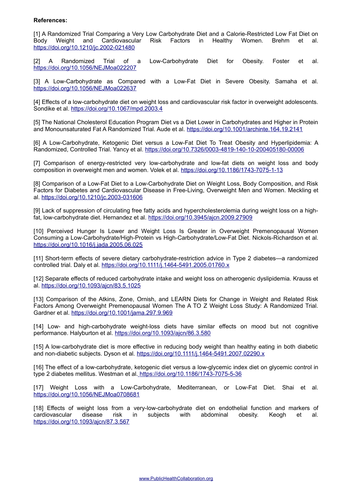## **References:**

[1] A Randomized Trial Comparing a Very Low Carbohydrate Diet and a Calorie-Restricted Low Fat Diet on Body Weight and Cardiovascular Risk Factors in Healthy Women. Brehm et al. <https://doi.org/10.1210/jc.2002-021480>

[2] A Randomized Trial of a Low-Carbohydrate Diet for Obesity. Foster et al. <https://doi.org/10.1056/NEJMoa022207>

[3] A Low-Carbohydrate as Compared with a Low-Fat Diet in Severe Obesity. Samaha et al. <https://doi.org/10.1056/NEJMoa022637>

[4] Effects of a low-carbohydrate diet on weight loss and cardiovascular risk factor in overweight adolescents. Sondike et al.<https://doi.org/10.1067/mpd.2003.4>

[5] The National Cholesterol Education Program Diet vs a Diet Lower in Carbohydrates and Higher in Protein and Monounsaturated Fat A Randomized Trial. Aude et al.<https://doi.org/10.1001/archinte.164.19.2141>

[6] A Low-Carbohydrate, Ketogenic Diet versus a Low-Fat Diet To Treat Obesity and Hyperlipidemia: A Randomized, Controlled Trial. Yancy et al.<https://doi.org/10.7326/0003-4819-140-10-200405180-00006>

[7] Comparison of energy-restricted very low-carbohydrate and low-fat diets on weight loss and body composition in overweight men and women. Volek et al.<https://doi.org/10.1186/1743-7075-1-13>

[8] Comparison of a Low-Fat Diet to a Low-Carbohydrate Diet on Weight Loss, Body Composition, and Risk Factors for Diabetes and Cardiovascular Disease in Free-Living, Overweight Men and Women. Meckling et al.<https://doi.org/10.1210/jc.2003-031606>

[9] Lack of suppression of circulating free fatty acids and hypercholesterolemia during weight loss on a highfat, low-carbohydrate diet. Hernandez et al.<https://doi.org/10.3945/ajcn.2009.27909>

[10] Perceived Hunger Is Lower and Weight Loss Is Greater in Overweight Premenopausal Women Consuming a Low-Carbohydrate/High-Protein vs High-Carbohydrate/Low-Fat Diet. Nickols-Richardson et al. <https://doi.org/10.1016/j.jada.2005.06.025>

[11] Short-term effects of severe dietary carbohydrate-restriction advice in Type 2 diabetes—a randomized controlled trial. Daly et al.<https://doi.org/10.1111/j.1464-5491.2005.01760.x>

[12] Separate effects of reduced carbohydrate intake and weight loss on atherogenic dyslipidemia. Krauss et al.<https://doi.org/10.1093/ajcn/83.5.1025>

[13] Comparison of the Atkins, Zone, Ornish, and LEARN Diets for Change in Weight and Related Risk Factors Among Overweight Premenopausal Women The A TO Z Weight Loss Study: A Randomized Trial. Gardner et al.<https://doi.org/10.1001/jama.297.9.969>

[14] Low- and high-carbohydrate weight-loss diets have similar effects on mood but not cognitive performance. Halyburton et al.<https://doi.org/10.1093/ajcn/86.3.580>

[15] A low-carbohydrate diet is more effective in reducing body weight than healthy eating in both diabetic and non-diabetic subjects. Dyson et al.<https://doi.org/10.1111/j.1464-5491.2007.02290.x>

[16] The effect of a low-carbohydrate, ketogenic diet versus a low-glycemic index diet on glycemic control in type 2 diabetes mellitus. Westman et al. <https://doi.org/10.1186/1743-7075-5-36>

[17] Weight Loss with a Low-Carbohydrate, Mediterranean, or Low-Fat Diet. Shai et al. <https://doi.org/10.1056/NEJMoa0708681>

[18] Effects of weight loss from a very-low-carbohydrate diet on endothelial function and markers of cardiovascular disease risk in subjects with abdominal obesity. Keogh et al. <https://doi.org/10.1093/ajcn/87.3.567>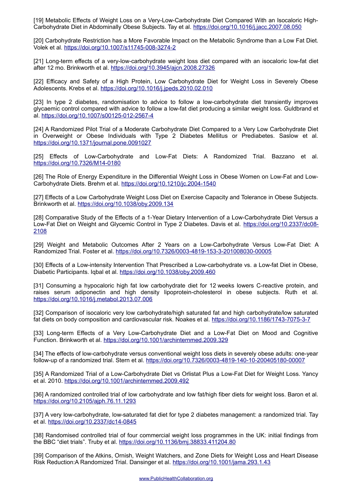[19] Metabolic Effects of Weight Loss on a Very-Low-Carbohydrate Diet Compared With an Isocaloric High-Carbohydrate Diet in Abdominally Obese Subjects. Tay et al.<https://doi.org/10.1016/j.jacc.2007.08.050>

[20] Carbohydrate Restriction has a More Favorable Impact on the Metabolic Syndrome than a Low Fat Diet. Volek et al.<https://doi.org/10.1007/s11745-008-3274-2>

[21] Long-term effects of a very-low-carbohydrate weight loss diet compared with an isocaloric low-fat diet after 12 mo. Brinkworth et al.<https://doi.org/10.3945/ajcn.2008.27326>

[22] Efficacy and Safety of a High Protein, Low Carbohydrate Diet for Weight Loss in Severely Obese Adolescents. Krebs et al.<https://doi.org/10.1016/j.jpeds.2010.02.010>

[23] In type 2 diabetes, randomisation to advice to follow a low-carbohydrate diet transiently improves glycaemic control compared with advice to follow a low-fat diet producing a similar weight loss. Guldbrand et al.<https://doi.org/10.1007/s00125-012-2567-4>

[24] A Randomized Pilot Trial of a Moderate Carbohydrate Diet Compared to a Very Low Carbohydrate Diet in Overweight or Obese Individuals with Type 2 Diabetes Mellitus or Prediabetes. Saslow et al. <https://doi.org/10.1371/journal.pone.0091027>

[25] Effects of Low-Carbohydrate and Low-Fat Diets: A Randomized Trial. Bazzano et al. <https://doi.org/10.7326/M14-0180>

[26] The Role of Energy Expenditure in the Differential Weight Loss in Obese Women on Low-Fat and Low-Carbohydrate Diets. Brehm et al.<https://doi.org/10.1210/jc.2004-1540>

[27] Effects of a Low Carbohydrate Weight Loss Diet on Exercise Capacity and Tolerance in Obese Subjects. Brinkworth et al.<https://doi.org/10.1038/oby.2009.134>

[28] Comparative Study of the Effects of a 1-Year Dietary Intervention of a Low-Carbohydrate Diet Versus a Low-Fat Diet on Weight and Glycemic Control in Type 2 Diabetes. Davis et al. [https://doi.org/10.2337/dc08-](https://doi.org/10.2337/dc08-2108) [2108](https://doi.org/10.2337/dc08-2108)

[29] Weight and Metabolic Outcomes After 2 Years on a Low-Carbohydrate Versus Low-Fat Diet: A Randomized Trial. Foster et al.<https://doi.org/10.7326/0003-4819-153-3-201008030-00005>

[30] Effects of a Low-intensity Intervention That Prescribed a Low-carbohydrate vs. a Low-fat Diet in Obese, Diabetic Participants. Iqbal et al.<https://doi.org/10.1038/oby.2009.460>

[31] Consuming a hypocaloric high fat low carbohydrate diet for 12 weeks lowers C-reactive protein, and raises serum adiponectin and high density lipoprotein-cholesterol in obese subjects. Ruth et al. <https://doi.org/10.1016/j.metabol.2013.07.006>

[32] Comparison of isocaloric very low carbohydrate/high saturated fat and high carbohydrate/low saturated fat diets on body composition and cardiovascular risk. Noakes et al.<https://doi.org/10.1186/1743-7075-3-7>

[33] Long-term Effects of a Very Low-Carbohydrate Diet and a Low-Fat Diet on Mood and Cognitive Function. Brinkworth et al.<https://doi.org/10.1001/archinternmed.2009.329>

[34] The effects of low-carbohydrate versus conventional weight loss diets in severely obese adults: one-year follow-up of a randomized trial. Stern et al.<https://doi.org/10.7326/0003-4819-140-10-200405180-00007>

[35] A Randomized Trial of a Low-Carbohydrate Diet vs Orlistat Plus a Low-Fat Diet for Weight Loss. Yancy et al. 2010.<https://doi.org/10.1001/archinternmed.2009.492>

[36] A randomized controlled trial of low carbohydrate and low fat/high fiber diets for weight loss. Baron et al. <https://doi.org/10.2105/ajph.76.11.1293>

[37] A very low-carbohydrate, low-saturated fat diet for type 2 diabetes management: a randomized trial. Tay et al.<https://doi.org/10.2337/dc14-0845>

[38] Randomised controlled trial of four commercial weight loss programmes in the UK: initial findings from the BBC "diet trials". Truby et al.<https://doi.org/10.1136/bmj.38833.411204.80>

[39] Comparison of the Atkins, Ornish, Weight Watchers, and Zone Diets for Weight Loss and Heart Disease Risk Reduction:A Randomized Trial. Dansinger et al.<https://doi.org/10.1001/jama.293.1.43>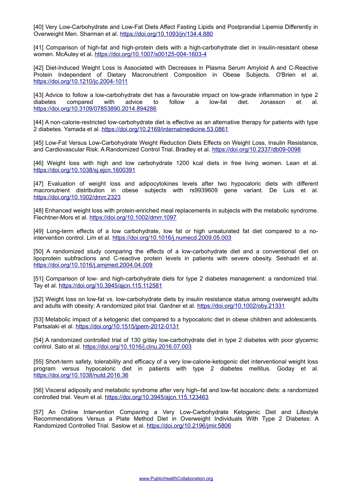[40] Very Low-Carbohydrate and Low-Fat Diets Affect Fasting Lipids and Postprandial Lipemia Differently in Overweight Men. Sharman et al.<https://doi.org/10.1093/jn/134.4.880>

[41] Comparison of high-fat and high-protein diets with a high-carbohydrate diet in insulin-resistant obese women. McAuley et al.<https://doi.org/10.1007/s00125-004-1603-4>

[42] Diet-Induced Weight Loss Is Associated with Decreases in Plasma Serum Amyloid A and C-Reactive Protein Independent of Dietary Macronutrient Composition in Obese Subjects. O'Brien et al. <https://doi.org/10.1210/jc.2004-1011>

[43] Advice to follow a low-carbohydrate diet has a favourable impact on low-grade inflammation in type 2<br>diabetes compared with advice to follow a low-fat diet Jonasson et al. diabetes compared with advice to follow a low-fat diet. Jonasson et al. <https://doi.org/10.3109/07853890.2014.894286>

[44] A non-calorie-restricted low-carbohydrate diet is effective as an alternative therapy for patients with type 2 diabetes. Yamada et al.<https://doi.org/10.2169/internalmedicine.53.0861>

[45] Low-Fat Versus Low-Carbohydrate Weight Reduction Diets Effects on Weight Loss, Insulin Resistance, and Cardiovascular Risk: A Randomized Control Trial. Bradley et al.<https://doi.org/10.2337/db09-0098>

[46] Weight loss with high and low carbohydrate 1200 kcal diets in free living women. Lean et al. <https://doi.org/10.1038/sj.ejcn.1600391>

[47] Evaluation of weight loss and adipocytokines levels after two hypocaloric diets with different macronutrient distribution in obese subjects with rs9939609 gene variant. De Luis et al. <https://doi.org/10.1002/dmrr.2323>

[48] Enhanced weight loss with protein-enriched meal replacements in subjects with the metabolic syndrome. Flechtner-Mors et al.<https://doi.org/10.1002/dmrr.1097>

[49] Long-term effects of a low carbohydrate, low fat or high unsaturated fat diet compared to a nointervention control. Lim et al.<https://doi.org/10.1016/j.numecd.2009.05.003>

[50] A randomized study comparing the effects of a low-carbohydrate diet and a conventional diet on lipoprotein subfractions and C-reactive protein levels in patients with severe obesity. Seshadri et al. <https://doi.org/10.1016/j.amjmed.2004.04.009>

[51] Comparison of low- and high-carbohydrate diets for type 2 diabetes management: a randomized trial. Tay et al.<https://doi.org/10.3945/ajcn.115.112581>

[52] Weight loss on low-fat vs. low-carbohydrate diets by insulin resistance status among overweight adults and adults with obesity: A randomized pilot trial. Gardner et al.<https://doi.org/10.1002/oby.21331>

[53] Metabolic impact of a ketogenic diet compared to a hypocaloric diet in obese children and adolescents. Partsalaki et al.<https://doi.org/10.1515/jpem-2012-0131>

[54] A randomized controlled trial of 130 g/day low-carbohydrate diet in type 2 diabetes with poor glycemic control. Sato et al.<https://doi.org/10.1016/j.clnu.2016.07.003>

[55] Short-term safety, tolerability and efficacy of a very low-calorie-ketogenic diet interventional weight loss program versus hypocaloric diet in patients with type 2 diabetes mellitus. Goday et al. <https://doi.org/10.1038/nutd.2016.36>

[56] Visceral adiposity and metabolic syndrome after very high–fat and low-fat isocaloric diets: a randomized controlled trial. Veum et al.<https://doi.org/10.3945/ajcn.115.123463>

[57] An Online Intervention Comparing a Very Low-Carbohydrate Ketogenic Diet and Lifestyle Recommendations Versus a Plate Method Diet in Overweight Individuals With Type 2 Diabetes: A Randomized Controlled Trial. Saslow et al.<https://doi.org/10.2196/jmir.5806>